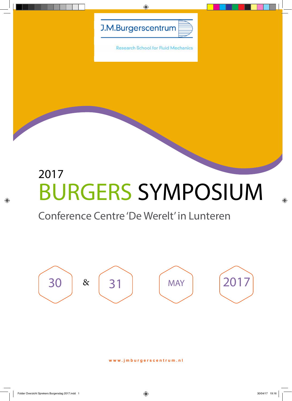

 $\bigoplus$ 

**Research School for Fluid Mechanics** 

# 2017 BURGERS SYMPOSIUM

## Conference Centre 'De Werelt' in Lunteren



**www.jmburgerscentrum.nl**

◈

◈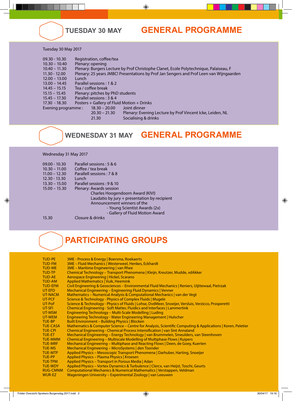

### **TUESday 30 MAY GENERAL PROGRAMME**

### Tuesday 30 May 2017

| Plenary: opening<br>$10.30 - 10.40$<br>Plenary: Burgers Lecture by Prof Christophe Clanet, Ecole Polytechnique, Palaiseau, F<br>$10.40 - 11.30$<br>Plenary: 25 years JMBC! Presentations by Prof Jan Sengers and Prof Leen van Wijngaarden<br>$11.30 - 12.00$<br>$12.00 - 13.00$<br>Lunch. |  |
|--------------------------------------------------------------------------------------------------------------------------------------------------------------------------------------------------------------------------------------------------------------------------------------------|--|
|                                                                                                                                                                                                                                                                                            |  |
|                                                                                                                                                                                                                                                                                            |  |
|                                                                                                                                                                                                                                                                                            |  |
|                                                                                                                                                                                                                                                                                            |  |
| Parallel sessions: 1 & 2<br>$13.00 - 14.45$                                                                                                                                                                                                                                                |  |
| Tea / coffee break<br>$14.45 - 15.15$                                                                                                                                                                                                                                                      |  |
| Plenary: pitches by PhD students<br>$15.15 - 15.45$                                                                                                                                                                                                                                        |  |
| Parallel sessions: 3 & 4<br>$15.45 - 17.30$                                                                                                                                                                                                                                                |  |
| Posters + Gallery of Fluid Motion + Drinks<br>17.30 - 18.30                                                                                                                                                                                                                                |  |
| $18.30 - 20.00$<br>Evening programme:<br>Joint dinner                                                                                                                                                                                                                                      |  |
| Plenary: Evening Lecture by Prof Vincent Icke, Leiden, NL<br>$20.30 - 21.30$                                                                                                                                                                                                               |  |
| Socialising & drinks<br>21.30                                                                                                                                                                                                                                                              |  |

 $\bigcirc$ 

# **WEDNESday 31 MAY GENERAL PROGRAMME**

### Wednesday 31 May 2017

| $09.00 - 10.30$ | Parallel sessions: 5 & 6                     |
|-----------------|----------------------------------------------|
| $10.30 - 11.00$ | Coffee / tea break                           |
| $11.00 - 12.30$ | Parallell sessions: 7 & 8                    |
| $12.30 - 13.30$ | Lunch                                        |
| $13.30 - 15.00$ | Parallel sessions: 9 & 10                    |
| $15.00 - 15.30$ | Plenary: Awards session                      |
|                 | Charles Hoogendoorn Award (KIVI)             |
|                 | Laudatio by jury + presentation by recipient |
|                 | Announcement winners of the                  |
|                 | - Young Scientist Awards (2x)                |
|                 | - Gallery of Fluid Motion Award              |
| 15.30           | Closure & drinks                             |

 $\bigcirc$ 

## **PARTICIPATING GROUPS**

| <b>TUD-PE</b>   | 3ME - Process & Energy   Boersma, Roekaerts                                                                 |
|-----------------|-------------------------------------------------------------------------------------------------------------|
| TUD-FM          | 3ME - Fluid Mechanics   Westerweel, Henkes, Eckhardt                                                        |
| <b>TUD-ME</b>   | 3ME - Maritime Engineering   van Rhee                                                                       |
| TUD-TP          | Chemical Technology - Transport Phenomena   Kleijn, Kreutzer, Mudde, vdAkker                                |
| TUD-AE          | Aerospace Engineering   Hickel, Scarano                                                                     |
| <b>TUD-AM</b>   | <b>Applied Mathematics   Vuik, Heemink</b>                                                                  |
| <b>TUD-EFM</b>  | Civil Engineering & Geosciences - Environmental Fluid Mechanics   Reniers, Uijttewaal, Pietrzak             |
| UT-EFD          | Mechanical Engineering – Engineering Fluid Dynamics   Venner                                                |
| UT-NACM         | Mathematics - Numerical Analysis & Computational Mechanics   van der Vegt                                   |
| UT-PCF          | Science & Technology - Physics of Complex Fluids   Mugele                                                   |
| UT-PoF          | Science & Technology - Physics of Fluids   Lohse, DvdMeer, Snoeijer, Versluis, Verzicco, Prosperetti        |
| UT-SFI          | Chemical Engineering - Soft Matter, Fluidics and Interfaces   Lammertink                                    |
| UT-MSM          | Engineering Technology - Multi-Scale Modelling   Luding                                                     |
| UT-WEM          | Engineering Technology - Water Engineering Management   Hulscher                                            |
| <b>TUE-BP</b>   | <b>Built Environment – Building Physics   Blocken</b>                                                       |
| <b>TUE-CASA</b> | Mathematics & Computer Science - Centre for Analysis, Scientific Computing & Applications   Koren, Peletier |
| TUE-CPI         | Chemical Engineering - Chemical Process Intensification   van Sint Annaland                                 |
| TUE-ET          | Mechanical Engineering - Energy Technology   van Brummelen, Smeulders, van Steenhoven                       |
| TUE-MMM         | Chemical Engineering – Multiscale Modelling of Multiphase Flows   Kuipers                                   |
| <b>TUE-MRF</b>  | Mechanical Engineering – Multiphase and Reacting Flows   Deen, de Goey, Kuerten                             |
| TUE-MS          | Mechanical Engineering - MicroSystems   den Toonder                                                         |
| TUE-MTP         | Applied Physics – Mesoscopic Transport Phenomena   Darhuber, Harting, Snoeijer                              |
| TUE-PP          | Applied Physics – Plasma Physics   Kroesen                                                                  |
| TUE-TPM         | Applied Physics - Transport in Porous Media   Adan                                                          |
| TUE-WDY         | Applied Physics – Vortex Dynamics & Turbulence   Clercx, van Heijst, Toschi, Geurts                         |
| <b>RUG-CMNM</b> | Computational Mechanics & Numerical Mathematics   Verstappen, Veldman                                       |
| WUR-EZ          | Wageningen University – Experimental Zoology   van Leeuwen                                                  |

 $\bigoplus$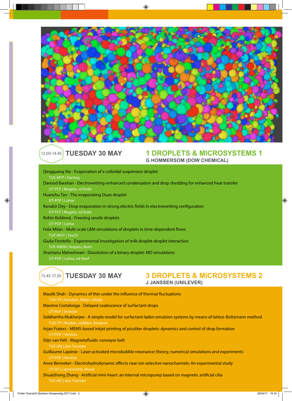

 $\bigoplus$ 

### 13.00-14.45 TUESDAY 30 MAY

# **1 DROPLETS & MICROSYSTEMS 1 G HOMMERSOM (DOW CHEMICAL)**

| Qingguang Xie - Evaporation of a colloidal suspension droplet                                       |
|-----------------------------------------------------------------------------------------------------|
| TUE-MTP   Harting                                                                                   |
| Davood Baratian - Electrowetting-enhanced condensation and drop shedding for enhanced heat transfer |
| UT-PCF   Mugele, vd Ende                                                                            |
| Huanshu Tan - The evaporating Ouzo droplet                                                          |
| UT-POF   Lohse                                                                                      |
| Ranabir Dey - Drop evaporation in strong electric fields in electrowetting configuration            |
| UT-PCF   Mugele, vd Ende                                                                            |
| Robin Koldewij - Freezing sessile droplets                                                          |
| UT-POF   Lohse                                                                                      |
| Felix Milan - Multi-scale LBM simulations of droplets in time-dependent flows                       |
| TUE-WDY   Toschi                                                                                    |
| Giulia Finotello - Experimental investigation of milk droplet-droplet interaction                   |
| TUE-MMM   Kuipers, Buist                                                                            |
| Shantanu Maheshwari - Dissolution of a binary droplet: MD simulations                               |
| UT-POF   Lohse, vd Hoef                                                                             |

# 15.45-17.30 TUESDAY 30 MAY

# **3 DROPLETS & MICROSYSTEMS 2**<br>**J JANSSEN (UNILEVER)**

 $\bigoplus$ 

 $\bigoplus$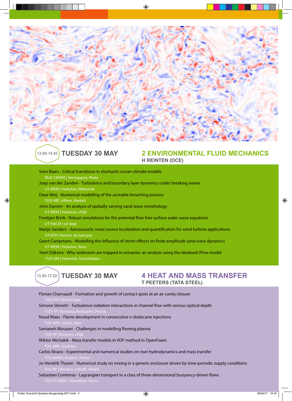

◈

### 13.00-14.45

### **TUESday 30 MAY 2 ENVIRONMENTAL FLUID MECHANICS h reinten (oce)**

Sven Baars - Critical transitions in stochastic ocean-climate models RUG-CMNM | Verstappen, Wubs Joep van der Zanden - Turbulence and boundary layer dynamics under breaking waves UT-WEM | Hulscher, Ribberink Dave Weij - Numerical modelling of the unstable breaching process TUD-ME | vRhee, Keetels John Damen - An analysis of spatially varying sand wave morphology UT-WEM | Hulscher, vDijk Freekjan Brink - Robust simulations for the potential flow free surface water wave equations UT-NACM | vd Vegt Marijn Sanders - Aeroacoustic noise source localization and quantification for wind turbine applications UT-EFD | Venner, de Santana Geert Campmans - Modelling the influence of storm effects on finite amplitude sand wave dynamics UT-WEM | Hulscher, Roos

Yoeri Dijkstra - Why sediments are trapped in estuaries: an analysis using the idealised iFlow model TUD-AM | Heemink, Schuttelaars



## **TUESDAY 30 MAY 4 HEAT AND MASS TRANSFER**<br>T PEETERS (TATA STEEL)

| Florian Charruault - Formation and growth of contact spots at an air cavity closure<br>TUD-FM   Westerweel                                          |
|-----------------------------------------------------------------------------------------------------------------------------------------------------|
| Simone Silvestri - Turbulence radiation interactions in channel flow with various optical depth<br>TUD-TP   Boersma, Roekaerts, Pecnik              |
| Noud Maes - Flame devolopment in consecutive n-dodecane injections<br>TUE-MRF   Deen, Dam                                                           |
| Samaneh Mousavi - Challenges in modelling flowing plasma<br>TUE-PP   Kroesen, vDijk                                                                 |
| Wiktor Michalek - Mass transfer models in VOF method in OpenFoam<br>TUE-MRF   Kuerten                                                               |
| Carlos Alvaro - Experimental and numerical studies on riser hydrodynamics and mass transfer<br>TUE-MMM   Kuipers, Peters                            |
| Jo-Hendrik Thysen - Numerical study on mixing in a generic enclosure driven by time-periodic supply conditions<br>TUE-BP   Blocken, vHooff, vHeijst |
| Sebastian Contreras - Lagrangian transport in a class of three-dimensional buoyancy-driven flows<br>TUE-ET+WDY   Speetjens, Clercx                  |

⊕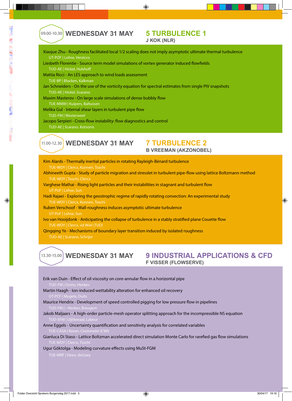◈

# 09.00-10.30 **WEDNESDAY 31 MAY 5 TURBULENCE 1**

Xiaojue Zhu - Roughness facilitated local 1/2 scaling does not imply asymptotic ultimate thermal turbulence UT-POF | Lohse, Verzicco

◈

- Liesbeth Florentie Source term model simulations of vortex generator induced flowfields
	- TUD-AE | Hickel, Hulshoff
- Mattia Ricci An LES approach to wind loads assessment TUE-BP | Blocken, Kalkman
- Jan Schneiders On the use of the vorticity equation for spectral estimates from single PIV snapshots TUD-AE | Hickel, Scarano
- Maxim Masterov On large scale simulations of dense bubbly flow
- TUE-MMM | Kuipers, Baltussen
- Melika Gul Internal shear layers in turbulent pipe flow
- TUD-FM | Westerweel
- Jacopo Serpieri Cross-flow instability: flow diagnostics and control TUD-AE | Scarano. Kotsonis

### 11.00-12.30

# **WEDNESDAY 31 MAY 7 TURBULENCE 2**<br>B VREEMAN (AKZONOBEL)

- Kim Alards Thermally inertial particles in rotating Rayleigh-Bénard turbulence TUE-WDY | Clercx, Kunnen, Toschi
- Abhineeth Gupta Study of particle migration and stresslet in turbulent pipe-flow using lattice Boltzmann method TUE-WDY | Toschi, Clercx
- Varghese Mathai Rising light particles and their instabilities in stagnant and turbulent flow
- Hadi Rajaei Exploring the geostrophic regime of rapidly rotating convection: An experimental study TUE-WDY | Clercx, Kunnen, Toschi
- Ruben Verschoof Wall-roughness induces asymptotic ultimate turbulence
- Ivo van Hooijdonk Anticipating the collapse of turbulence in a stably stratified plane Couette flow TUE-WDY | Clercx, vd Wiel (TUD)
- Qingqing Ye Mechanisms of boundary layer transition induced by isolated roughness

### **WEDNESday 31 MAY 9 INDUSTRIAL APPLICATIONS & CFD f visser (flowserve)** 13.30-15.00

- Erik van Duin Effect of oil viscosity on core-annular flow in a horizontal pipe TUD-FM | Ooms, Henl
- Martin Haagh Ion-induced wettability alteration for enhanced oil recovery UT-PCF | Mugele, Du
- Maurice Hendrix Development of speed controlled pigging for low pressure flow in pipelines
- Jakob Maljaars A high-order particle-mesh operator splitting approach for the incompressible NS equation TUD-FFM | Uijttewaal, Labe
- Anne Eggels Uncertainty quantification and sensitivity analysis for correlated variables

Gianluca Di Staso - Lattice Boltzman accelerated direct simulation Monte Carlo for rarefied gas flow simulations TUE-WDY | Clercx, Tos

Ugur Göktolga - Modeling curvature effects using MuSt-FGM

◈